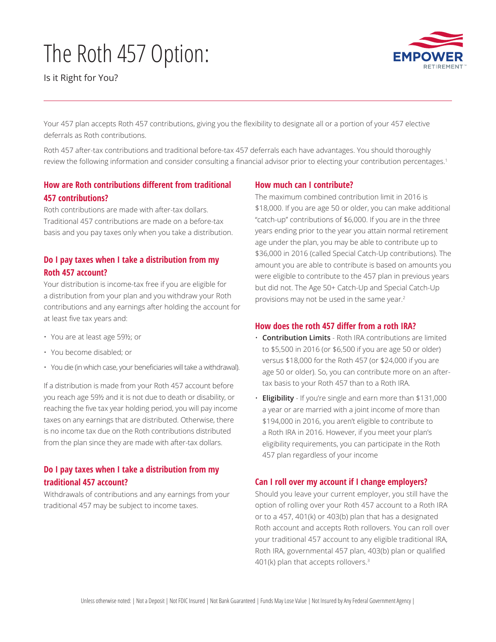# The Roth 457 Option:

Is it Right for You?



Your 457 plan accepts Roth 457 contributions, giving you the flexibility to designate all or a portion of your 457 elective deferrals as Roth contributions.

Roth 457 after-tax contributions and traditional before-tax 457 deferrals each have advantages. You should thoroughly review the following information and consider consulting a financial advisor prior to electing your contribution percentages.<sup>1</sup>

## **How are Roth contributions different from traditional 457 contributions?**

Roth contributions are made with after-tax dollars. Traditional 457 contributions are made on a before-tax basis and you pay taxes only when you take a distribution.

## **Do I pay taxes when I take a distribution from my Roth 457 account?**

Your distribution is income-tax free if you are eligible for a distribution from your plan and you withdraw your Roth contributions and any earnings after holding the account for at least five tax years and:

- You are at least age 59½; or
- You become disabled; or
- You die (in which case, your beneficiaries will take a withdrawal).

If a distribution is made from your Roth 457 account before you reach age 59½ and it is not due to death or disability, or reaching the five tax year holding period, you will pay income taxes on any earnings that are distributed. Otherwise, there is no income tax due on the Roth contributions distributed from the plan since they are made with after-tax dollars.

## **Do I pay taxes when I take a distribution from my traditional 457 account?**

Withdrawals of contributions and any earnings from your traditional 457 may be subject to income taxes.

#### **How much can I contribute?**

The maximum combined contribution limit in 2016 is \$18,000. If you are age 50 or older, you can make additional "catch-up" contributions of \$6,000. If you are in the three years ending prior to the year you attain normal retirement age under the plan, you may be able to contribute up to \$36,000 in 2016 (called Special Catch-Up contributions). The amount you are able to contribute is based on amounts you were eligible to contribute to the 457 plan in previous years but did not. The Age 50+ Catch-Up and Special Catch-Up provisions may not be used in the same year.2

#### **How does the roth 457 differ from a roth IRA?**

- **Contribution Limits**  Roth IRA contributions are limited to \$5,500 in 2016 (or \$6,500 if you are age 50 or older) versus \$18,000 for the Roth 457 (or \$24,000 if you are age 50 or older). So, you can contribute more on an aftertax basis to your Roth 457 than to a Roth IRA.
- **Eligibility** If you're single and earn more than \$131,000 a year or are married with a joint income of more than \$194,000 in 2016, you aren't eligible to contribute to a Roth IRA in 2016. However, if you meet your plan's eligibility requirements, you can participate in the Roth 457 plan regardless of your income

## **Can I roll over my account if I change employers?**

Should you leave your current employer, you still have the option of rolling over your Roth 457 account to a Roth IRA or to a 457, 401(k) or 403(b) plan that has a designated Roth account and accepts Roth rollovers. You can roll over your traditional 457 account to any eligible traditional IRA, Roth IRA, governmental 457 plan, 403(b) plan or qualified 401(k) plan that accepts rollovers.3